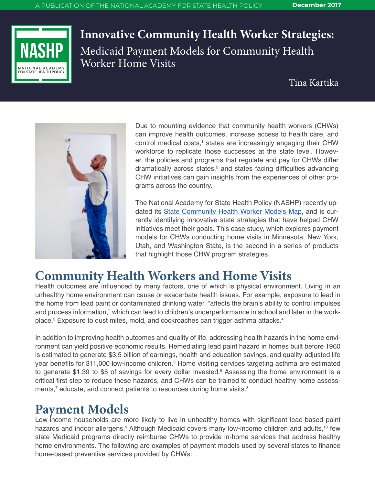

**Innovative Community Health Worker Strategies:** Medicaid Payment Models for Community Health Worker Home Visits

Tina Kartika



Due to mounting evidence that community health workers (CHWs) can improve health outcomes, increase access to health care, and control medical costs,<sup>1</sup> states are increasingly engaging their CHW workforce to replicate those successes at the state level. However, the policies and programs that regulate and pay for CHWs differ dramatically across states,<sup>2</sup> and states facing difficulties advancing CHW initiatives can gain insights from the experiences of other programs across the country.

The National Academy for State Health Policy (NASHP) recently updated its [State Community Health Worker Models Map,](http://nashp.org/state-community-health-worker-models/) and is currently identifying innovative state strategies that have helped CHW initiatives meet their goals. This case study, which explores payment models for CHWs conducting home visits in Minnesota, New York, Utah, and Washington State, is the second in a series of products that highlight those CHW program strategies.

# **Community Health Workers and Home Visits**

Health outcomes are influenced by many factors, one of which is physical environment. Living in an unhealthy home environment can cause or exacerbate health issues. For example, exposure to lead in the home from lead paint or contaminated drinking water, "affects the brain's ability to control impulses and process information," which can lead to children's underperformance in school and later in the workplace.<sup>3</sup> Exposure to dust mites, mold, and cockroaches can trigger asthma attacks.<sup>4</sup>

In addition to improving health outcomes and quality of life, addressing health hazards in the home environment can yield positive economic results. Remediating lead paint hazard in homes built before 1960 is estimated to generate \$3.5 billion of earnings, health and education savings, and quality-adjusted life year benefits for 311,000 low-income children.<sup>5</sup> Home visiting services targeting asthma are estimated to generate \$1.39 to \$5 of savings for every dollar invested.<sup>6</sup> Assessing the home environment is a critical first step to reduce these hazards, and CHWs can be trained to conduct healthy home assessments,<sup>7</sup> educate, and connect patients to resources during home visits. $^8$ 

# **Payment Models**

Low-income households are more likely to live in unhealthy homes with significant lead-based paint hazards and indoor allergens.<sup>9</sup> Although Medicaid covers many low-income children and adults,<sup>10</sup> few state Medicaid programs directly reimburse CHWs to provide in-home services that address healthy home environments. The following are examples of payment models used by several states to finance home-based preventive services provided by CHWs: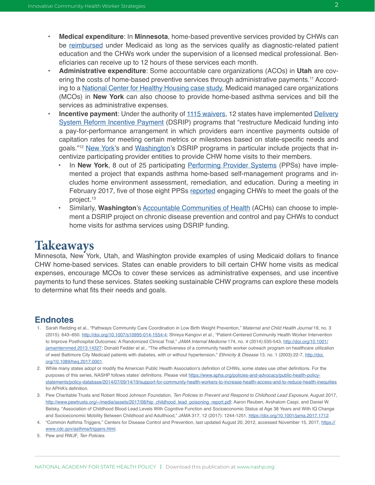- **• Medical expenditure**: In **Minnesota**, home-based preventive services provided by CHWs can be [reimbursed](http://www.dhs.state.mn.us/main/idcplg?IdcService=GET_DYNAMIC_CONVERSION&RevisionSelectionMethod=LatestReleased&dDocName=dhs16_140357) under Medicaid as long as the services qualify as diagnostic-related patient education and the CHWs work under the supervision of a licensed medical professional. Beneficiaries can receive up to 12 hours of these services each month.
- **• Administrative expenditure**: Some accountable care organizations (ACOs) in **Utah** are covering the costs of home-based preventive services through administrative payments.<sup>11</sup> According to a [National Center for Healthy Housing case study,](http://www.nchh.org/Portals/0/Contents/Asthma_NY_final.pdf) Medicaid managed care organizations (MCOs) in **New York** can also choose to provide home-based asthma services and bill the services as administrative expenses.
- **Incentive payment**: Under the authority of [1115 waivers](https://www.medicaid.gov/medicaid/section-1115-demo/index.html), 12 states have implemented Delivery [System Reform Incentive Payment](http://www.nashp.org/state-delivery-system-payment-reform-map/) (DSRIP) programs that "restructure Medicaid funding into a pay-for-performance arrangement in which providers earn incentive payments outside of capitation rates for meeting certain metrics or milestones based on state-specific needs and goals."<sup>12</sup> [New York](https://www.medicaid.gov/Medicaid-CHIP-Program-Information/By-Topics/Waivers/1115/downloads/ny/ny-medicaid-rdsgn-team-ca.pdf)'s and [Washington](https://www.medicaid.gov/Medicaid-CHIP-Program-Information/By-Topics/Waivers/1115/downloads/wa/medicaid-transformation/wa-medicaid-transformation-dsrip-plan-prtcl-062817.pdf)'s DSRIP programs in particular include projects that incentivize participating provider entities to provide CHW home visits to their members.
	- In **New York**, 8 out of 25 participating [Performing Provider Systems](https://www.health.ny.gov/health_care/medicaid/redesign/dsrip/pps_map/index.htm) (PPSs) have implemented a project that expands asthma home-based self-management programs and includes home environment assessment, remediation, and education. During a meeting in February 2017, five of those eight PPSs [reported](https://www.health.ny.gov/health_care/medicaid/redesign/dsrip/paop/presentations/index.htm) engaging CHWs to meet the goals of the project.13
	- Similarly, **Washington**'s [Accountable Communities of Health](https://www.hca.wa.gov/about-hca/healthier-washington/accountable-communities-health-ach) (ACHs) can choose to implement a DSRIP project on chronic disease prevention and control and pay CHWs to conduct home visits for asthma services using DSRIP funding.

## **Takeaways**

Minnesota, New York, Utah, and Washington provide examples of using Medicaid dollars to finance CHW home-based services. States can enable providers to bill certain CHW home visits as medical expenses, encourage MCOs to cover these services as administrative expenses, and use incentive payments to fund these services. States seeking sustainable CHW programs can explore these models to determine what fits their needs and goals.

### **Endnotes**

- 1. Sarah Redding et al., "Pathways Community Care Coordination in Low Birth Weight Prevention," *Maternal and Child Health Journal* 19, no. 3 (2015): 643–650. <http://doi.org/10.1007/s10995-014-1554-4>; Shreya Kangovi et al., "Patient-Centered Community Health Worker Intervention to Improve Posthospital Outcomes: A Randomized Clinical Trial," *JAMA Internal Medicine* 174, no. 4 (2014):535-543, [http://doi.org/10.1001/](http://doi.org/10.1001/jamainternmed.2013.14327) [jamainternmed.2013.14327](http://doi.org/10.1001/jamainternmed.2013.14327); Donald Fedder et al., "The effectiveness of a community health worker outreach program on healthcare utilization of west Baltimore City Medicaid patients with diabetes, with or without hypertension," *Ethnicity & Disease* 13, no. 1 (2003):22-7, [http://doi.](http://doi.org/10.1089/heq.2017.0001) [org/10.1089/heq.2017.0001.](http://doi.org/10.1089/heq.2017.0001)
- 2. While many states adopt or modify the American Public Health Association's definition of CHWs, some states use other definitions. For the purposes of this series, NASHP follows states' definitions. Please visit [https://www.apha.org/policies-and-advocacy/public-health-policy](https://www.apha.org/policies-and-advocacy/public-health-policy-statements/policy-database/2014/07/09/14/19/support-for-community-health-workers-to-increase-health-access-and-to-reduce-health-inequities)[statements/policy-database/2014/07/09/14/19/support-for-community-health-workers-to-increase-health-access-and-to-reduce-health-inequities](https://www.apha.org/policies-and-advocacy/public-health-policy-statements/policy-database/2014/07/09/14/19/support-for-community-health-workers-to-increase-health-access-and-to-reduce-health-inequities) for APHA's definition.
- 3. Pew Charitable Trusts and Robert Wood Johnson Foundation, *Ten Policies to Prevent and Respond to Childhood Lead Exposure*, August 2017, [http://www.pewtrusts.org/~/media/assets/2017/08/hip\\_childhood\\_lead\\_poisoning\\_report.pdf;](http://www.pewtrusts.org/~/media/assets/2017/08/hip_childhood_lead_poisoning_report.pdf) Aaron Reuben, Avshalom Caspi, and Daniel W. Belsky, "Association of Childhood Blood Lead Levels With Cognitive Function and Socioeconomic Status at Age 38 Years and With IQ Change and Socioeconomic Mobility Between Childhood and Adulthood," JAMA 317, 12 (2017): 1244-1251, [https://doi.org/10.1001/jama.2017.1712.](https://doi.org/10.1001/jama.2017.1712)
- 4. "Common Asthma Triggers," Centers for Disease Control and Prevention, last updated August 20, 2012, accessed November 15, 2017, [https://](https://www.cdc.gov/asthma/triggers.html) [www.cdc.gov/asthma/triggers.html](https://www.cdc.gov/asthma/triggers.html).
- 5. Pew and RWJF, *Ten Policies*.